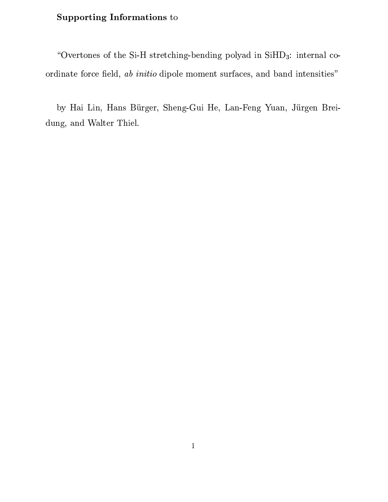## $S$  . Supporting  $S$  is the support of the supporting  $S$  is the support of  $S$  is the support of  $S$  is the support of  $S$  is the support of  $S$  is the support of  $S$  is the support of  $S$  is the support of  $S$  is the su

 $\overline{\phantom{a}}$  of the Si-H stretching-bending polyad in SiHD3: internal co-internal co-internal co-internal co-internal coordinate force eld, ab initio dipole moment surfaces, and band intensities"

 $\mathcal{L}_{\mathcal{L}}$  Hai Lin, Hans Burger, Sheng-Gui He, Lang-Feng Yuan, Jurgen Breitduring, and walter the Walter Thiel. In the Walter Thieler, we are the contract of the United States of the United States and the United States of the United States and the United States and the United States and The Unite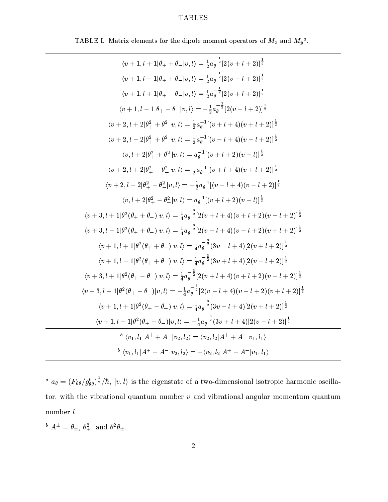## TABLES

| $\langle v+1, l+1   \theta_+ + \theta_-   v, l \rangle = \frac{1}{2} a_0^{-\frac{1}{2}} [2(v+l+2)]^{\frac{1}{2}}$                             |
|-----------------------------------------------------------------------------------------------------------------------------------------------|
| $\langle v+1, l-1   \theta_+ + \theta_-   v, l \rangle = \frac{1}{2} a_0^{-\frac{1}{2}} [2(v-l+2)]^{\frac{1}{2}}$                             |
| $\langle v+1, l+1   \theta_+ - \theta_-   v, l \rangle = \frac{1}{2} a_0^{-\frac{1}{2}} [2(v+l+2)]^{\frac{1}{2}}$                             |
| $\langle v+1, l-1 \theta_+ - \theta_- v, l\rangle = -\frac{1}{2}a_0^{-\frac{1}{2}}[2(v-l+2)]^{\frac{1}{2}}$                                   |
| $\langle v+2, l+2 \theta_+^2+\theta_-^2 v, l\rangle = \frac{1}{2}a^{-1}[(v+l+4)(v+l+2)]^{\frac{1}{2}}$                                        |
| $\langle v+2, l-2 \theta_+^2+\theta_-^2 v, l\rangle = \frac{1}{2}a^{-1}[(v-l+4)(v-l+2)]^{\frac{1}{2}}$                                        |
| $\langle v, l+2 \theta_+^2+\theta_-^2 v, l\rangle=a_0^{-1}[(v+l+2)(v-l)]^{\frac{1}{2}}$                                                       |
| $\langle v+2, l+2 \theta^2_+-\theta^2_- v, l\rangle = \frac{1}{2}a^{-1}[(v+l+4)(v+l+2)]^{\frac{1}{2}}$                                        |
| $\langle v+2, l-2 \theta_+^2-\theta_-^2 v, l\rangle = -\frac{1}{2}a^{-1}[(v-l+4)(v-l+2)]^{\frac{1}{2}}$                                       |
| $\langle v, l+2 \theta^2_+ - \theta^2_- v, l\rangle = a^{-1}_{\theta}[(v+l+2)(v-l)]^{\frac{1}{2}}$                                            |
| $\langle v+3, l+1 \theta^2(\theta_++\theta_-) v, l\rangle = \frac{1}{4}a_0^{-\frac{3}{2}}[2(v+l+4)(v+l+2)(v-l+2)]^{\frac{1}{2}}$              |
| $\langle v+3, l-1 \theta^2(\theta_++\theta_-) v, l\rangle = \frac{1}{4}a_0^{-\frac{3}{2}}[2(v-l+4)(v-l+2)(v+l+2)]^{\frac{1}{2}}$              |
| $\langle v+1, l+1 \theta^2(\theta_+ + \theta_-) v, l\rangle = \frac{1}{4}a_0^{-\frac{3}{2}}(3v-l+4)[2(v+l+2)]^{\frac{1}{2}}$                  |
| $\langle v+1, l-1 \theta^2(\theta_+ + \theta_-) v, l\rangle = \frac{1}{4}a_0^{-\frac{3}{2}}(3v+l+4)[2(v-l+2)]^{\frac{1}{2}}$                  |
| $\langle v+3, l+1 \theta^2(\theta_+-\theta_-) v, l\rangle = \frac{1}{4}a_0^{-\frac{3}{2}}[2(v+l+4)(v+l+2)(v-l+2)]^{\frac{1}{2}}$              |
| $\langle v+3, l-1 \theta^2(\theta_+-\theta_-) v,l\rangle=-\frac{1}{4}a_\theta^{-\frac{3}{2}}[2(v-l+4)(v-l+2)(v+l+2)]^{\frac{1}{2}}$           |
| $\langle v+1, l+1 \theta^2(\theta_+-\theta_-) v, l\rangle = \frac{1}{4}a_0^{-\frac{3}{2}}(3v-l+4)[2(v+l+2)]^{\frac{1}{2}}$                    |
| $\langle v+1, l-1   \theta^2(\theta_+ - \theta_-)   v, l \rangle = -\frac{1}{4} a_0^{-\frac{3}{2}} (3v + l + 4) [2(v - l + 2)]^{\frac{1}{2}}$ |
| ${}^{b} \langle v_1, l_1   A^+ + A^-   v_2, l_2 \rangle = \langle v_2, l_2   A^+ + A^-   v_1, l_1 \rangle$                                    |
| ${}^{b} \langle v_1, l_1   A^+ - A^-   v_2, l_2 \rangle = - \langle v_2, l_2   A^+ - A^-   v_1, l_1 \rangle$                                  |

TABLE I. Matrix elements for the dipole moment operators of  $M_x$  and  $M_y^a$ .

 $a_a a_\theta = (F_{\theta\theta}/g_{\theta\theta}^a)^{\frac{1}{2}}/\hbar$ ,  $|v,l\rangle$  is the eigenstate of a two-dimensional isotropic harmonic oscillator, with the vibrational quantum number  $v$  and vibrational angular momentum quantum number  $l$ .

 $A = \sigma_{\pm}, \sigma_{+}, \text{ and } \sigma \sigma_{\pm}.$  $\sigma_{\pm}$ .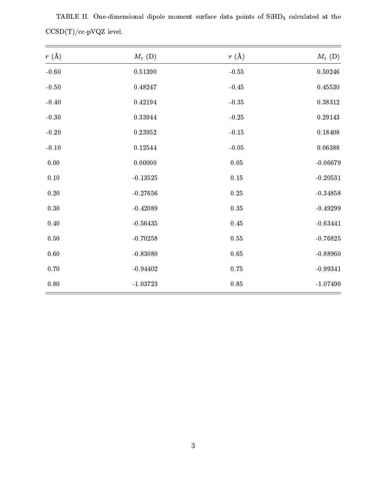| $r~({\rm \AA})$ | $M_z$ (D)    | $r(\text{\AA})$  | $M_z$ (D)   |
|-----------------|--------------|------------------|-------------|
| $-0.60$         | $0.51390\,$  | $\textbf{-0.55}$ | $0.50246\,$ |
| $-0.50$         | 0.48247      | $\mbox{-}0.45$   | 0.45530     |
| $-0.40$         | $0.42\,194$  | $\mbox{-}0.35$   | 0.38312     |
| $\hbox{-}0.30$  | ${ 0.33944}$ | $-0.25$          | 0.29143     |
| $-0.20$         | $0.23952\,$  | $-0.15$          | 0.18408     |
| $-0.10$         | $0.12544\,$  | $\hbox{-}0.05$   | 0.06388     |
| $0.00\,$        | 0.00000      | $0.05\,$         | $-0.06679$  |
| $0.10\,$        | $-0.13525$   | $0.15\,$         | $-0.20531$  |
| $0.20\,$        | $-0.27656$   | $0.25\,$         | $-0.34858$  |
| $0.30\,$        | $-0.42089$   | $0.35\,$         | $-0.49299$  |
| $0.40\,$        | $-0.56435$   | $0.45\,$         | $-0.63441$  |
| $0.50\,$        | $-0.70258$   | $0.55\,$         | $-0.76825$  |
| $0.60\,$        | $-0.83080$   | $0.65\,$         | $-0.88960$  |
| $0.70\,$        | $-0.94402$   | $0.75\,$         | $-0.99341$  |
| $0.80\,$        | $-1.03723$   | $0.85\,$         | $-1.07490$  |

TABLE II. One-dimensional dipole moment surface data points of SiHD3 calculated at the  $\text{CCSD(T)/cc-pVQZ}$  level.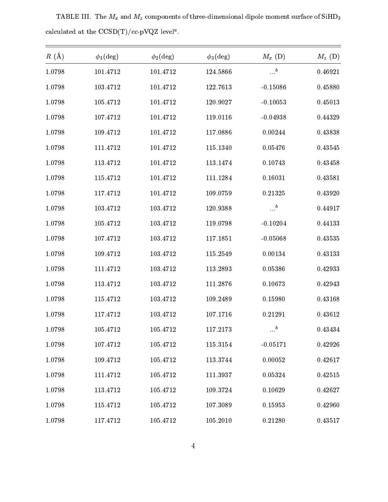| $R(\AA)$ | $\phi_1(\deg)$ | $\phi_2$ (deg) | $\phi_3$ (deg) | $M_x$ (D)             | $M_z~({\rm D})$ |
|----------|----------------|----------------|----------------|-----------------------|-----------------|
| 1.0798   | 101.4712       | 101.4712       | 124.5866       | $\ldots^b$            | 0.46921         |
| 1.0798   | 103.4712       | 101.4712       | 122.7613       | $-0.15086$            | 0.45880         |
| 1.0798   | 105.4712       | 101.4712       | 120.9027       | $-0.10053$            | 0.45013         |
| 1.0798   | 107.4712       | 101.4712       | 119.0116       | $-0.04938$            | 0.44329         |
| 1.0798   | 109.4712       | 101.4712       | 117.0886       | 0.00244               | 0.43838         |
| 1.0798   | 111.4712       | 101.4712       | 115.1340       | 0.05476               | 0.43545         |
| 1.0798   | 113.4712       | 101.4712       | 113.1474       | 0.10743               | 0.43458         |
| 1.0798   | 115.4712       | 101.4712       | 111.1284       | 0.16031               | 0.43581         |
| 1.0798   | 117.4712       | 101.4712       | 109.0759       | 0.21325               | 0.43920         |
| 1.0798   | 103.4712       | 103.4712       | 120.9388       | $\ldots$ <sup>b</sup> | 0.44917         |
| 1.0798   | 105.4712       | 103.4712       | 119.0798       | $-0.10204$            | 0.44133         |
| 1.0798   | 107.4712       | 103.4712       | 117.1851       | $-0.05068$            | 0.43535         |
| 1.0798   | 109.4712       | 103.4712       | 115.2549       | 0.00134               | 0.43133         |
| 1.0798   | 111.4712       | 103.4712       | 113.2893       | 0.05386               | 0.42933         |
| 1.0798   | 113.4712       | 103.4712       | 111.2876       | 0.10673               | 0.42943         |
| 1.0798   | 115.4712       | 103.4712       | 109.2489       | 0.15980               | 0.43168         |
| 1.0798   | 117.4712       | 103.4712       | 107.1716       | 0.21291               | 0.43612         |
| 1.0798   | 105.4712       | 105.4712       | 117.2173       | $\ldots^b$            | 0.43434         |
| 1.0798   | 107.4712       | 105.4712       | 115.3154       | $-0.05171$            | 0.42926         |
| 1.0798   | 109.4712       | 105.4712       | 113.3744       | 0.00052               | 0.42617         |
| 1.0798   | 111.4712       | 105.4712       | 111.3937       | 0.05324               | 0.42515         |
| 1.0798   | 113.4712       | 105.4712       | 109.3724       | 0.10629               | 0.42627         |
| 1.0798   | 115.4712       | 105.4712       | 107.3089       | 0.15953               | 0.42960         |
| 1.0798   | 117.4712       | 105.4712       | 105.2010       | 0.21280               | 0.43517         |

TABLE III. The  $M_x$  and  $M_z$  components of three-dimensional dipole moment surface of SiHD<sub>3</sub> calculated at the  $\text{CCSD(T)/cc-pVQZ}$  level<br>".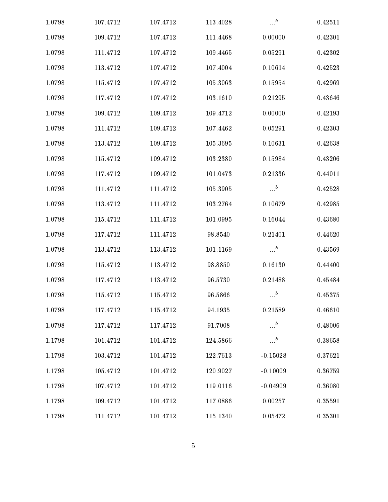| 1.0798 | 107.4712 | 107.4712 | 113.4028 | $\ldots$ <sup>b</sup>            | 0.42511 |
|--------|----------|----------|----------|----------------------------------|---------|
| 1.0798 | 109.4712 | 107.4712 | 111.4468 | 0.00000                          | 0.42301 |
| 1.0798 | 111.4712 | 107.4712 | 109.4465 | 0.05291                          | 0.42302 |
| 1.0798 | 113.4712 | 107.4712 | 107.4004 | 0.10614                          | 0.42523 |
| 1.0798 | 115.4712 | 107.4712 | 105.3063 | 0.15954                          | 0.42969 |
| 1.0798 | 117.4712 | 107.4712 | 103.1610 | 0.21295                          | 0.43646 |
| 1.0798 | 109.4712 | 109.4712 | 109.4712 | 0.00000                          | 0.42193 |
| 1.0798 | 111.4712 | 109.4712 | 107.4462 | 0.05291                          | 0.42303 |
| 1.0798 | 113.4712 | 109.4712 | 105.3695 | 0.10631                          | 0.42638 |
| 1.0798 | 115.4712 | 109.4712 | 103.2380 | 0.15984                          | 0.43206 |
| 1.0798 | 117.4712 | 109.4712 | 101.0473 | 0.21336                          | 0.44011 |
| 1.0798 | 111.4712 | 111.4712 | 105.3905 | $\ldots$ <sup>b</sup>            | 0.42528 |
| 1.0798 | 113.4712 | 111.4712 | 103.2764 | 0.10679                          | 0.42985 |
| 1.0798 | 115.4712 | 111.4712 | 101.0995 | 0.16044                          | 0.43680 |
| 1.0798 | 117.4712 | 111.4712 | 98.8540  | 0.21401                          | 0.44620 |
| 1.0798 | 113.4712 | 113.4712 | 101.1169 | $\cdots$ <sup>b</sup>            | 0.43569 |
| 1.0798 | 115.4712 | 113.4712 | 98.8850  | 0.16130                          | 0.44400 |
| 1.0798 | 117.4712 | 113.4712 | 96.5730  | 0.21488                          | 0.45484 |
| 1.0798 | 115.4712 | 115.4712 | 96.5866  | $\ldots$ <sup>b</sup>            | 0.45375 |
| 1.0798 | 117.4712 | 115.4712 | 94.1935  | 0.21589                          | 0.46610 |
| 1.0798 | 117.4712 | 117.4712 | 91.7008  | $\ldots$ <sup>b</sup>            | 0.48006 |
| 1.1798 | 101.4712 | 101.4712 | 124.5866 | $\cdot \cdot \cdot$ <sup>b</sup> | 0.38658 |
| 1.1798 | 103.4712 | 101.4712 | 122.7613 | $-0.15028$                       | 0.37621 |
| 1.1798 | 105.4712 | 101.4712 | 120.9027 | $-0.10009$                       | 0.36759 |
| 1.1798 | 107.4712 | 101.4712 | 119.0116 | $-0.04909$                       | 0.36080 |
| 1.1798 | 109.4712 | 101.4712 | 117.0886 | 0.00257                          | 0.35591 |
| 1.1798 | 111.4712 | 101.4712 | 115.1340 | 0.05472                          | 0.35301 |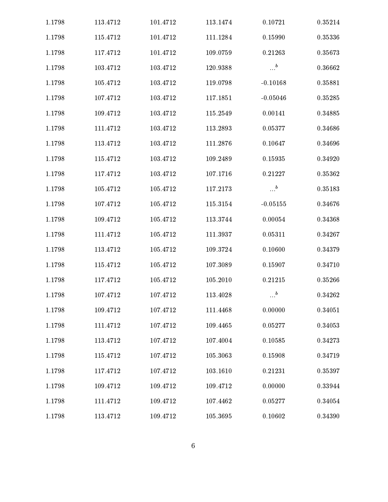| 1.1798     | 113.4712 | 101.4712 | 113.1474 | 0.10721               | 0.35214      |  |
|------------|----------|----------|----------|-----------------------|--------------|--|
| 1.1798     | 115.4712 | 101.4712 | 111.1284 | 0.15990               | 0.35336      |  |
| 1.1798     | 117.4712 | 101.4712 | 109.0759 | 0.21263               | 0.35673      |  |
| 1.1798     | 103.4712 | 103.4712 | 120.9388 | $\ldots$ <sup>b</sup> | 0.36662      |  |
| 1.1798     | 105.4712 | 103.4712 | 119.0798 | $-0.10168$            | 0.35881      |  |
| 1.1798     | 107.4712 | 103.4712 | 117.1851 | $-0.05046$            | 0.35285      |  |
| 1.1798     | 109.4712 | 103.4712 | 115.2549 | 0.00141               | 0.34885      |  |
| 1.1798     | 111.4712 | 103.4712 | 113.2893 | 0.05377               | 0.34686      |  |
| 1.1798     | 113.4712 | 103.4712 | 111.2876 | 0.10647               | 0.34696      |  |
| 1.1798     | 115.4712 | 103.4712 | 109.2489 | 0.15935               | 0.34920      |  |
| 1.1798     | 117.4712 | 103.4712 | 107.1716 | 0.21227               | 0.35362      |  |
| 1.1798     | 105.4712 | 105.4712 | 117.2173 | $\ldots^b$            | 0.35183      |  |
| 1.1798     | 107.4712 | 105.4712 | 115.3154 | $-0.05155$            | 0.34676      |  |
| 1.1798     | 109.4712 | 105.4712 | 113.3744 | 0.00054               | 0.34368      |  |
| 1.1798     | 111.4712 | 105.4712 | 111.3937 | 0.05311               | 0.34267      |  |
| 1.1798     | 113.4712 | 105.4712 | 109.3724 | 0.10600               | 0.34379      |  |
| 1.1798     | 115.4712 | 105.4712 | 107.3089 | 0.15907               | 0.34710      |  |
| 1.1798     | 117.4712 | 105.4712 | 105.2010 | 0.21215               | 0.35266      |  |
| 1.1798     | 107.4712 | 107.4712 | 113.4028 | $\cdots$ <sup>b</sup> | ${ 0.34262}$ |  |
| 1.1798     | 109.4712 | 107.4712 | 111.4468 | 0.00000               | 0.34051      |  |
| 1.1798     | 111.4712 | 107.4712 | 109.4465 | 0.05277               | 0.34053      |  |
| 1.1798     | 113.4712 | 107.4712 | 107.4004 | 0.10585               | 0.34273      |  |
| $1.1798\,$ | 115.4712 | 107.4712 | 105.3063 | 0.15908               | 0.34719      |  |
| 1.1798     | 117.4712 | 107.4712 | 103.1610 | 0.21231               | 0.35397      |  |
| 1.1798     | 109.4712 | 109.4712 | 109.4712 | 0.00000               | 0.33944      |  |
| 1.1798     | 111.4712 | 109.4712 | 107.4462 | 0.05277               | 0.34054      |  |
| 1.1798     | 113.4712 | 109.4712 | 105.3695 | 0.10602               | 0.34390      |  |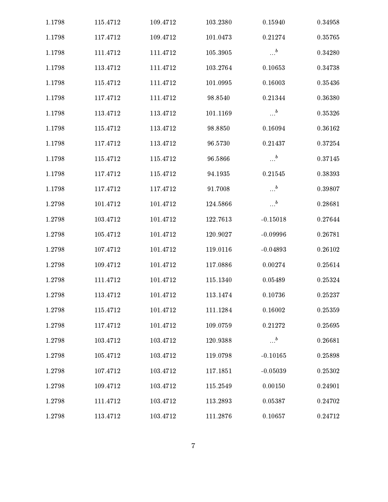| 1.1798 | 115.4712 | 109.4712 | 103.2380 | 0.15940               | 0.34958 |
|--------|----------|----------|----------|-----------------------|---------|
| 1.1798 | 117.4712 | 109.4712 | 101.0473 | 0.21274               | 0.35765 |
| 1.1798 | 111.4712 | 111.4712 | 105.3905 | $\cdots$ <sup>b</sup> | 0.34280 |
| 1.1798 | 113.4712 | 111.4712 | 103.2764 | 0.10653               | 0.34738 |
| 1.1798 | 115.4712 | 111.4712 | 101.0995 | 0.16003               | 0.35436 |
| 1.1798 | 117.4712 | 111.4712 | 98.8540  | 0.21344               | 0.36380 |
| 1.1798 | 113.4712 | 113.4712 | 101.1169 | $\cdots$ <sup>b</sup> | 0.35326 |
| 1.1798 | 115.4712 | 113.4712 | 98.8850  | 0.16094               | 0.36162 |
| 1.1798 | 117.4712 | 113.4712 | 96.5730  | 0.21437               | 0.37254 |
| 1.1798 | 115.4712 | 115.4712 | 96.5866  | $\ldots$ <sup>b</sup> | 0.37145 |
| 1.1798 | 117.4712 | 115.4712 | 94.1935  | 0.21545               | 0.38393 |
| 1.1798 | 117.4712 | 117.4712 | 91.7008  | $\ldots^b$            | 0.39807 |
| 1.2798 | 101.4712 | 101.4712 | 124.5866 | $\ldots^b$            | 0.28681 |
| 1.2798 | 103.4712 | 101.4712 | 122.7613 | $-0.15018$            | 0.27644 |
| 1.2798 | 105.4712 | 101.4712 | 120.9027 | $-0.09996$            | 0.26781 |
| 1.2798 | 107.4712 | 101.4712 | 119.0116 | $-0.04893$            | 0.26102 |
| 1.2798 | 109.4712 | 101.4712 | 117.0886 | 0.00274               | 0.25614 |
| 1.2798 | 111.4712 | 101.4712 | 115.1340 | 0.05489               | 0.25324 |
| 1.2798 | 113.4712 | 101.4712 | 113.1474 | 0.10736               | 0.25237 |
| 1.2798 | 115.4712 | 101.4712 | 111.1284 | 0.16002               | 0.25359 |
| 1.2798 | 117.4712 | 101.4712 | 109.0759 | 0.21272               | 0.25695 |
| 1.2798 | 103.4712 | 103.4712 | 120.9388 | $\ldots^b$            | 0.26681 |
| 1.2798 | 105.4712 | 103.4712 | 119.0798 | $-0.10165$            | 0.25898 |
| 1.2798 | 107.4712 | 103.4712 | 117.1851 | $-0.05039$            | 0.25302 |
| 1.2798 | 109.4712 | 103.4712 | 115.2549 | 0.00150               | 0.24901 |
| 1.2798 | 111.4712 | 103.4712 | 113.2893 | 0.05387               | 0.24702 |
| 1.2798 | 113.4712 | 103.4712 | 111.2876 | 0.10657               | 0.24712 |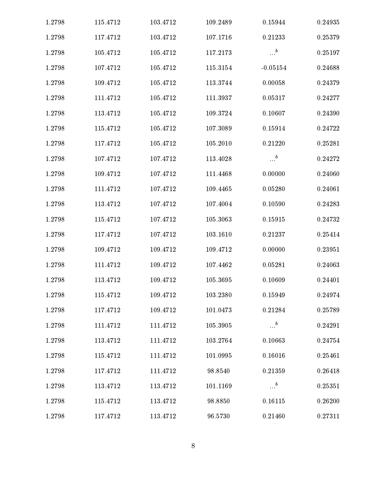| 1.2798 | 115.4712 | 103.4712 | 109.2489 | 0.15944               | 0.24935 |  |
|--------|----------|----------|----------|-----------------------|---------|--|
| 1.2798 | 117.4712 | 103.4712 | 107.1716 | 0.21233               | 0.25379 |  |
| 1.2798 | 105.4712 | 105.4712 | 117.2173 | $\ldots$ <sup>b</sup> | 0.25197 |  |
| 1.2798 | 107.4712 | 105.4712 | 115.3154 | $-0.05154$            | 0.24688 |  |
| 1.2798 | 109.4712 | 105.4712 | 113.3744 | 0.00058               | 0.24379 |  |
| 1.2798 | 111.4712 | 105.4712 | 111.3937 | 0.05317               | 0.24277 |  |
| 1.2798 | 113.4712 | 105.4712 | 109.3724 | 0.10607               | 0.24390 |  |
| 1.2798 | 115.4712 | 105.4712 | 107.3089 | 0.15914               | 0.24722 |  |
| 1.2798 | 117.4712 | 105.4712 | 105.2010 | 0.21220               | 0.25281 |  |
| 1.2798 | 107.4712 | 107.4712 | 113.4028 | $\ldots$ <sup>b</sup> | 0.24272 |  |
| 1.2798 | 109.4712 | 107.4712 | 111.4468 | 0.00000               | 0.24060 |  |
| 1.2798 | 111.4712 | 107.4712 | 109.4465 | 0.05280               | 0.24061 |  |
| 1.2798 | 113.4712 | 107.4712 | 107.4004 | 0.10590               | 0.24283 |  |
| 1.2798 | 115.4712 | 107.4712 | 105.3063 | 0.15915               | 0.24732 |  |
| 1.2798 | 117.4712 | 107.4712 | 103.1610 | 0.21237               | 0.25414 |  |
| 1.2798 | 109.4712 | 109.4712 | 109.4712 | 0.00000               | 0.23951 |  |
| 1.2798 | 111.4712 | 109.4712 | 107.4462 | 0.05281               | 0.24063 |  |
| 1.2798 | 113.4712 | 109.4712 | 105.3695 | 0.10609               | 0.24401 |  |
| 1.2798 | 115.4712 | 109.4712 | 103.2380 | 0.15949               | 0.24974 |  |
| 1.2798 | 117.4712 | 109.4712 | 101.0473 | 0.21284               | 0.25789 |  |
| 1.2798 | 111.4712 | 111.4712 | 105.3905 | $\ldots^b$            | 0.24291 |  |
| 1.2798 | 113.4712 | 111.4712 | 103.2764 | 0.10663               | 0.24754 |  |
| 1.2798 | 115.4712 | 111.4712 | 101.0995 | 0.16016               | 0.25461 |  |
| 1.2798 | 117.4712 | 111.4712 | 98.8540  | 0.21359               | 0.26418 |  |
| 1.2798 | 113.4712 | 113.4712 | 101.1169 | $\ldots$ <sup>b</sup> | 0.25351 |  |
| 1.2798 | 115.4712 | 113.4712 | 98.8850  | 0.16115               | 0.26200 |  |
| 1.2798 | 117.4712 | 113.4712 | 96.5730  | 0.21460               | 0.27311 |  |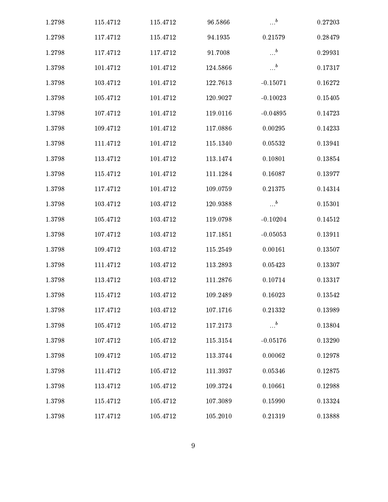| 1.2798 | 115.4712 | 115.4712 | 96.5866  | $\ldots^b$            | 0.27203 |
|--------|----------|----------|----------|-----------------------|---------|
| 1.2798 | 117.4712 | 115.4712 | 94.1935  | 0.21579               | 0.28479 |
| 1.2798 | 117.4712 | 117.4712 | 91.7008  | $\ldots$ <sup>b</sup> | 0.29931 |
| 1.3798 | 101.4712 | 101.4712 | 124.5866 | $\ldots^b$            | 0.17317 |
| 1.3798 | 103.4712 | 101.4712 | 122.7613 | $-0.15071$            | 0.16272 |
| 1.3798 | 105.4712 | 101.4712 | 120.9027 | $-0.10023$            | 0.15405 |
| 1.3798 | 107.4712 | 101.4712 | 119.0116 | $-0.04895$            | 0.14723 |
| 1.3798 | 109.4712 | 101.4712 | 117.0886 | 0.00295               | 0.14233 |
| 1.3798 | 111.4712 | 101.4712 | 115.1340 | 0.05532               | 0.13941 |
| 1.3798 | 113.4712 | 101.4712 | 113.1474 | 0.10801               | 0.13854 |
| 1.3798 | 115.4712 | 101.4712 | 111.1284 | 0.16087               | 0.13977 |
| 1.3798 | 117.4712 | 101.4712 | 109.0759 | 0.21375               | 0.14314 |
| 1.3798 | 103.4712 | 103.4712 | 120.9388 | $\ldots$ <sup>b</sup> | 0.15301 |
| 1.3798 | 105.4712 | 103.4712 | 119.0798 | $-0.10204$            | 0.14512 |
| 1.3798 | 107.4712 | 103.4712 | 117.1851 | $-0.05053$            | 0.13911 |
| 1.3798 | 109.4712 | 103.4712 | 115.2549 | 0.00161               | 0.13507 |
| 1.3798 | 111.4712 | 103.4712 | 113.2893 | 0.05423               | 0.13307 |
| 1.3798 | 113.4712 | 103.4712 | 111.2876 | 0.10714               | 0.13317 |
| 1.3798 | 115.4712 | 103.4712 | 109.2489 | 0.16023               | 0.13542 |
| 1.3798 | 117.4712 | 103.4712 | 107.1716 | 0.21332               | 0.13989 |
| 1.3798 | 105.4712 | 105.4712 | 117.2173 | $\ldots$ <sup>b</sup> | 0.13804 |
| 1.3798 | 107.4712 | 105.4712 | 115.3154 | $-0.05176$            | 0.13290 |
| 1.3798 | 109.4712 | 105.4712 | 113.3744 | 0.00062               | 0.12978 |
| 1.3798 | 111.4712 | 105.4712 | 111.3937 | 0.05346               | 0.12875 |
| 1.3798 | 113.4712 | 105.4712 | 109.3724 | 0.10661               | 0.12988 |
| 1.3798 | 115.4712 | 105.4712 | 107.3089 | 0.15990               | 0.13324 |
| 1.3798 | 117.4712 | 105.4712 | 105.2010 | 0.21319               | 0.13888 |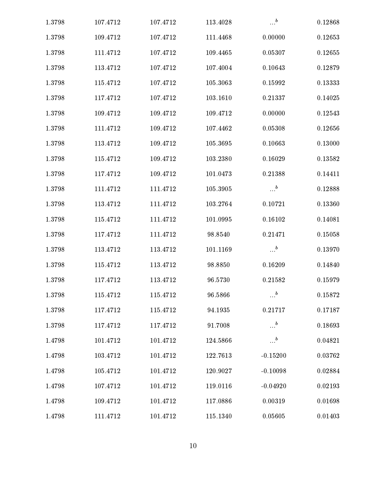| 1.3798 | 107.4712 | 107.4712 | 113.4028 | $\ldots$ <sup>b</sup>            | 0.12868 |
|--------|----------|----------|----------|----------------------------------|---------|
| 1.3798 | 109.4712 | 107.4712 | 111.4468 | 0.00000                          | 0.12653 |
| 1.3798 | 111.4712 | 107.4712 | 109.4465 | 0.05307                          | 0.12655 |
| 1.3798 | 113.4712 | 107.4712 | 107.4004 | 0.10643                          | 0.12879 |
| 1.3798 | 115.4712 | 107.4712 | 105.3063 | 0.15992                          | 0.13333 |
| 1.3798 | 117.4712 | 107.4712 | 103.1610 | 0.21337                          | 0.14025 |
| 1.3798 | 109.4712 | 109.4712 | 109.4712 | 0.00000                          | 0.12543 |
| 1.3798 | 111.4712 | 109.4712 | 107.4462 | 0.05308                          | 0.12656 |
| 1.3798 | 113.4712 | 109.4712 | 105.3695 | 0.10663                          | 0.13000 |
| 1.3798 | 115.4712 | 109.4712 | 103.2380 | 0.16029                          | 0.13582 |
| 1.3798 | 117.4712 | 109.4712 | 101.0473 | 0.21388                          | 0.14411 |
| 1.3798 | 111.4712 | 111.4712 | 105.3905 | $\ldots$ <sup>b</sup>            | 0.12888 |
| 1.3798 | 113.4712 | 111.4712 | 103.2764 | 0.10721                          | 0.13360 |
| 1.3798 | 115.4712 | 111.4712 | 101.0995 | 0.16102                          | 0.14081 |
| 1.3798 | 117.4712 | 111.4712 | 98.8540  | 0.21471                          | 0.15058 |
| 1.3798 | 113.4712 | 113.4712 | 101.1169 | $\ldots$ <sup>b</sup>            | 0.13970 |
| 1.3798 | 115.4712 | 113.4712 | 98.8850  | 0.16209                          | 0.14840 |
| 1.3798 | 117.4712 | 113.4712 | 96.5730  | 0.21582                          | 0.15979 |
| 1.3798 | 115.4712 | 115.4712 | 96.5866  | $\ldots$ <sup>b</sup>            | 0.15872 |
| 1.3798 | 117.4712 | 115.4712 | 94.1935  | 0.21717                          | 0.17187 |
| 1.3798 | 117.4712 | 117.4712 | 91.7008  | $\ldots$ <sup>b</sup>            | 0.18693 |
| 1.4798 | 101.4712 | 101.4712 | 124.5866 | $\cdot \cdot \cdot$ <sup>b</sup> | 0.04821 |
| 1.4798 | 103.4712 | 101.4712 | 122.7613 | $-0.15200$                       | 0.03762 |
| 1.4798 | 105.4712 | 101.4712 | 120.9027 | $-0.10098$                       | 0.02884 |
| 1.4798 | 107.4712 | 101.4712 | 119.0116 | $-0.04920$                       | 0.02193 |
| 1.4798 | 109.4712 | 101.4712 | 117.0886 | 0.00319                          | 0.01698 |
| 1.4798 | 111.4712 | 101.4712 | 115.1340 | 0.05605                          | 0.01403 |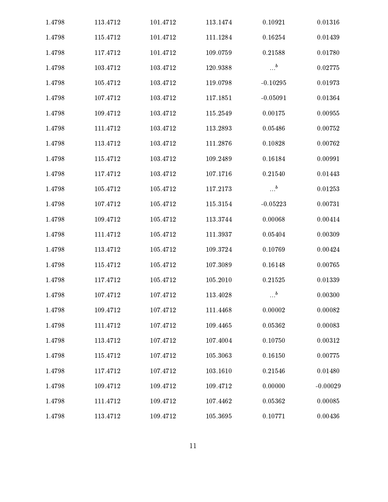| 1.4798 | 113.4712 | 101.4712 | 113.1474 | 0.10921               | 0.01316    |  |
|--------|----------|----------|----------|-----------------------|------------|--|
| 1.4798 | 115.4712 | 101.4712 | 111.1284 | 0.16254               | 0.01439    |  |
| 1.4798 | 117.4712 | 101.4712 | 109.0759 | 0.21588               | 0.01780    |  |
| 1.4798 | 103.4712 | 103.4712 | 120.9388 | $\cdots$ <sup>b</sup> | 0.02775    |  |
| 1.4798 | 105.4712 | 103.4712 | 119.0798 | $-0.10295$            | 0.01973    |  |
| 1.4798 | 107.4712 | 103.4712 | 117.1851 | $-0.05091$            | 0.01364    |  |
| 1.4798 | 109.4712 | 103.4712 | 115.2549 | 0.00175               | 0.00955    |  |
| 1.4798 | 111.4712 | 103.4712 | 113.2893 | 0.05486               | 0.00752    |  |
| 1.4798 | 113.4712 | 103.4712 | 111.2876 | 0.10828               | 0.00762    |  |
| 1.4798 | 115.4712 | 103.4712 | 109.2489 | 0.16184               | 0.00991    |  |
| 1.4798 | 117.4712 | 103.4712 | 107.1716 | 0.21540               | 0.01443    |  |
| 1.4798 | 105.4712 | 105.4712 | 117.2173 | $\ldots$ <sup>b</sup> | 0.01253    |  |
| 1.4798 | 107.4712 | 105.4712 | 115.3154 | $-0.05223$            | 0.00731    |  |
| 1.4798 | 109.4712 | 105.4712 | 113.3744 | 0.00068               | 0.00414    |  |
| 1.4798 | 111.4712 | 105.4712 | 111.3937 | 0.05404               | 0.00309    |  |
| 1.4798 | 113.4712 | 105.4712 | 109.3724 | 0.10769               | 0.00424    |  |
| 1.4798 | 115.4712 | 105.4712 | 107.3089 | 0.16148               | 0.00765    |  |
| 1.4798 | 117.4712 | 105.4712 | 105.2010 | 0.21525               | 0.01339    |  |
| 1.4798 | 107.4712 | 107.4712 | 113.4028 | $\ldots^b$            | 0.00300    |  |
| 1.4798 | 109.4712 | 107.4712 | 111.4468 | 0.00002               | 0.00082    |  |
| 1.4798 | 111.4712 | 107.4712 | 109.4465 | 0.05362               | 0.00083    |  |
| 1.4798 | 113.4712 | 107.4712 | 107.4004 | 0.10750               | 0.00312    |  |
| 1.4798 | 115.4712 | 107.4712 | 105.3063 | 0.16150               | 0.00775    |  |
| 1.4798 | 117.4712 | 107.4712 | 103.1610 | 0.21546               | 0.01480    |  |
| 1.4798 | 109.4712 | 109.4712 | 109.4712 | 0.00000               | $-0.00029$ |  |
| 1.4798 | 111.4712 | 109.4712 | 107.4462 | 0.05362               | 0.00085    |  |
| 1.4798 | 113.4712 | 109.4712 | 105.3695 | 0.10771               | 0.00436    |  |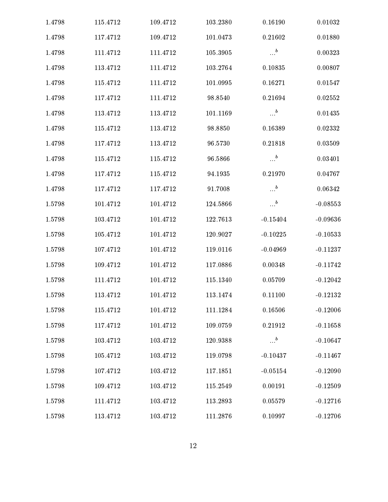| 1.4798 | 115.4712 | 109.4712 | 103.2380 | 0.16190               | 0.01032    |
|--------|----------|----------|----------|-----------------------|------------|
| 1.4798 | 117.4712 | 109.4712 | 101.0473 | 0.21602               | 0.01880    |
| 1.4798 | 111.4712 | 111.4712 | 105.3905 | $\ldots^b$            | 0.00323    |
| 1.4798 | 113.4712 | 111.4712 | 103.2764 | 0.10835               | 0.00807    |
| 1.4798 | 115.4712 | 111.4712 | 101.0995 | 0.16271               | 0.01547    |
| 1.4798 | 117.4712 | 111.4712 | 98.8540  | 0.21694               | 0.02552    |
| 1.4798 | 113.4712 | 113.4712 | 101.1169 | $\ldots$ <sup>b</sup> | 0.01435    |
| 1.4798 | 115.4712 | 113.4712 | 98.8850  | 0.16389               | 0.02332    |
| 1.4798 | 117.4712 | 113.4712 | 96.5730  | 0.21818               | 0.03509    |
| 1.4798 | 115.4712 | 115.4712 | 96.5866  | $\dots b$             | 0.03401    |
| 1.4798 | 117.4712 | 115.4712 | 94.1935  | 0.21970               | 0.04767    |
| 1.4798 | 117.4712 | 117.4712 | 91.7008  | $\cdots$ <sup>b</sup> | 0.06342    |
| 1.5798 | 101.4712 | 101.4712 | 124.5866 | $\cdots$ <sup>b</sup> | $-0.08553$ |
| 1.5798 | 103.4712 | 101.4712 | 122.7613 | $-0.15404$            | $-0.09636$ |
| 1.5798 | 105.4712 | 101.4712 | 120.9027 | $-0.10225$            | $-0.10533$ |
| 1.5798 | 107.4712 | 101.4712 | 119.0116 | $-0.04969$            | $-0.11237$ |
| 1.5798 | 109.4712 | 101.4712 | 117.0886 | 0.00348               | $-0.11742$ |
| 1.5798 | 111.4712 | 101.4712 | 115.1340 | 0.05709               | $-0.12042$ |
| 1.5798 | 113.4712 | 101.4712 | 113.1474 | 0.11100               | $-0.12132$ |
| 1.5798 | 115.4712 | 101.4712 | 111.1284 | 0.16506               | $-0.12006$ |
| 1.5798 | 117.4712 | 101.4712 | 109.0759 | 0.21912               | $-0.11658$ |
| 1.5798 | 103.4712 | 103.4712 | 120.9388 | $\ldots$ <sup>b</sup> | $-0.10647$ |
| 1.5798 | 105.4712 | 103.4712 | 119.0798 | $-0.10437$            | $-0.11467$ |
| 1.5798 | 107.4712 | 103.4712 | 117.1851 | $-0.05154$            | $-0.12090$ |
| 1.5798 | 109.4712 | 103.4712 | 115.2549 | 0.00191               | $-0.12509$ |
| 1.5798 | 111.4712 | 103.4712 | 113.2893 | 0.05579               | $-0.12716$ |
| 1.5798 | 113.4712 | 103.4712 | 111.2876 | 0.10997               | $-0.12706$ |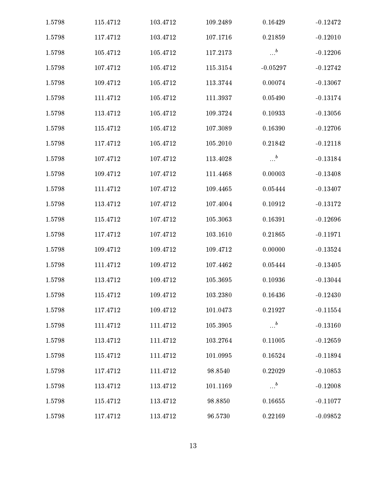| 1.5798 | 115.4712 | 103.4712 | 109.2489 | 0.16429               | $-0.12472$ |  |
|--------|----------|----------|----------|-----------------------|------------|--|
| 1.5798 | 117.4712 | 103.4712 | 107.1716 | 0.21859               | $-0.12010$ |  |
| 1.5798 | 105.4712 | 105.4712 | 117.2173 | $\ldots$ <sup>b</sup> | $-0.12206$ |  |
| 1.5798 | 107.4712 | 105.4712 | 115.3154 | $-0.05297$            | $-0.12742$ |  |
| 1.5798 | 109.4712 | 105.4712 | 113.3744 | 0.00074               | $-0.13067$ |  |
| 1.5798 | 111.4712 | 105.4712 | 111.3937 | 0.05490               | $-0.13174$ |  |
| 1.5798 | 113.4712 | 105.4712 | 109.3724 | 0.10933               | $-0.13056$ |  |
| 1.5798 | 115.4712 | 105.4712 | 107.3089 | 0.16390               | $-0.12706$ |  |
| 1.5798 | 117.4712 | 105.4712 | 105.2010 | 0.21842               | $-0.12118$ |  |
| 1.5798 | 107.4712 | 107.4712 | 113.4028 | $\dots b$             | $-0.13184$ |  |
| 1.5798 | 109.4712 | 107.4712 | 111.4468 | 0.00003               | $-0.13408$ |  |
| 1.5798 | 111.4712 | 107.4712 | 109.4465 | 0.05444               | $-0.13407$ |  |
| 1.5798 | 113.4712 | 107.4712 | 107.4004 | 0.10912               | $-0.13172$ |  |
| 1.5798 | 115.4712 | 107.4712 | 105.3063 | 0.16391               | $-0.12696$ |  |
| 1.5798 | 117.4712 | 107.4712 | 103.1610 | 0.21865               | $-0.11971$ |  |
| 1.5798 | 109.4712 | 109.4712 | 109.4712 | 0.00000               | $-0.13524$ |  |
| 1.5798 | 111.4712 | 109.4712 | 107.4462 | 0.05444               | $-0.13405$ |  |
| 1.5798 | 113.4712 | 109.4712 | 105.3695 | 0.10936               | $-0.13044$ |  |
| 1.5798 | 115.4712 | 109.4712 | 103.2380 | 0.16436               | $-0.12430$ |  |
| 1.5798 | 117.4712 | 109.4712 | 101.0473 | 0.21927               | $-0.11554$ |  |
| 1.5798 | 111.4712 | 111.4712 | 105.3905 | $\ldots^b$            | $-0.13160$ |  |
| 1.5798 | 113.4712 | 111.4712 | 103.2764 | 0.11005               | $-0.12659$ |  |
| 1.5798 | 115.4712 | 111.4712 | 101.0995 | 0.16524               | $-0.11894$ |  |
| 1.5798 | 117.4712 | 111.4712 | 98.8540  | 0.22029               | $-0.10853$ |  |
| 1.5798 | 113.4712 | 113.4712 | 101.1169 | $\ldots$ <sup>b</sup> | $-0.12008$ |  |
| 1.5798 | 115.4712 | 113.4712 | 98.8850  | 0.16655               | $-0.11077$ |  |
| 1.5798 | 117.4712 | 113.4712 | 96.5730  | 0.22169               | $-0.09852$ |  |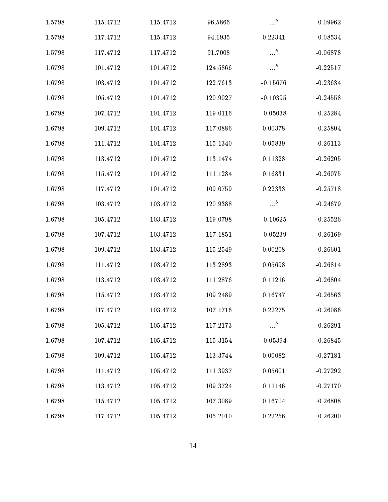| 1.5798 | 115.4712 | 115.4712 | 96.5866  | $\cdot \cdot \cdot$   | $-0.09962$ |
|--------|----------|----------|----------|-----------------------|------------|
| 1.5798 | 117.4712 | 115.4712 | 94.1935  | 0.22341               | $-0.08534$ |
| 1.5798 | 117.4712 | 117.4712 | 91.7008  | $\ldots$ <sup>b</sup> | $-0.06878$ |
| 1.6798 | 101.4712 | 101.4712 | 124.5866 | $\ldots$ <sup>b</sup> | $-0.22517$ |
| 1.6798 | 103.4712 | 101.4712 | 122.7613 | $-0.15676$            | $-0.23634$ |
| 1.6798 | 105.4712 | 101.4712 | 120.9027 | $-0.10395$            | $-0.24558$ |
| 1.6798 | 107.4712 | 101.4712 | 119.0116 | $-0.05038$            | $-0.25284$ |
| 1.6798 | 109.4712 | 101.4712 | 117.0886 | 0.00378               | $-0.25804$ |
| 1.6798 | 111.4712 | 101.4712 | 115.1340 | 0.05839               | $-0.26113$ |
| 1.6798 | 113.4712 | 101.4712 | 113.1474 | 0.11328               | $-0.26205$ |
| 1.6798 | 115.4712 | 101.4712 | 111.1284 | 0.16831               | $-0.26075$ |
| 1.6798 | 117.4712 | 101.4712 | 109.0759 | 0.22333               | $-0.25718$ |
| 1.6798 | 103.4712 | 103.4712 | 120.9388 | $\cdots$ <sup>b</sup> | $-0.24679$ |
| 1.6798 | 105.4712 | 103.4712 | 119.0798 | $-0.10625$            | $-0.25526$ |
| 1.6798 | 107.4712 | 103.4712 | 117.1851 | $-0.05239$            | $-0.26169$ |
| 1.6798 | 109.4712 | 103.4712 | 115.2549 | 0.00208               | $-0.26601$ |
| 1.6798 | 111.4712 | 103.4712 | 113.2893 | 0.05698               | $-0.26814$ |
| 1.6798 | 113.4712 | 103.4712 | 111.2876 | 0.11216               | $-0.26804$ |
| 1.6798 | 115.4712 | 103.4712 | 109.2489 | 0.16747               | $-0.26563$ |
| 1.6798 | 117.4712 | 103.4712 | 107.1716 | 0.22275               | $-0.26086$ |
| 1.6798 | 105.4712 | 105.4712 | 117.2173 | $\ldots$ <sup>b</sup> | $-0.26291$ |
| 1.6798 | 107.4712 | 105.4712 | 115.3154 | $-0.05394$            | $-0.26845$ |
| 1.6798 | 109.4712 | 105.4712 | 113.3744 | 0.00082               | $-0.27181$ |
| 1.6798 | 111.4712 | 105.4712 | 111.3937 | 0.05601               | $-0.27292$ |
| 1.6798 | 113.4712 | 105.4712 | 109.3724 | 0.11146               | $-0.27170$ |
| 1.6798 | 115.4712 | 105.4712 | 107.3089 | 0.16704               | $-0.26808$ |
| 1.6798 | 117.4712 | 105.4712 | 105.2010 | 0.22256               | $-0.26200$ |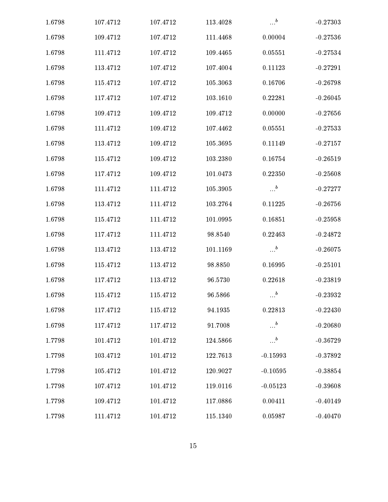| 1.6798 | 107.4712 | 107.4712 | 113.4028 | $\ldots$ <sup>b</sup>            | $-0.27303$ |
|--------|----------|----------|----------|----------------------------------|------------|
| 1.6798 | 109.4712 | 107.4712 | 111.4468 | 0.00004                          | $-0.27536$ |
| 1.6798 | 111.4712 | 107.4712 | 109.4465 | 0.05551                          | $-0.27534$ |
| 1.6798 | 113.4712 | 107.4712 | 107.4004 | 0.11123                          | $-0.27291$ |
| 1.6798 | 115.4712 | 107.4712 | 105.3063 | 0.16706                          | $-0.26798$ |
| 1.6798 | 117.4712 | 107.4712 | 103.1610 | 0.22281                          | $-0.26045$ |
| 1.6798 | 109.4712 | 109.4712 | 109.4712 | 0.00000                          | $-0.27656$ |
| 1.6798 | 111.4712 | 109.4712 | 107.4462 | 0.05551                          | $-0.27533$ |
| 1.6798 | 113.4712 | 109.4712 | 105.3695 | 0.11149                          | $-0.27157$ |
| 1.6798 | 115.4712 | 109.4712 | 103.2380 | 0.16754                          | $-0.26519$ |
| 1.6798 | 117.4712 | 109.4712 | 101.0473 | 0.22350                          | $-0.25608$ |
| 1.6798 | 111.4712 | 111.4712 | 105.3905 | $\cdots$ <sup>b</sup>            | $-0.27277$ |
| 1.6798 | 113.4712 | 111.4712 | 103.2764 | 0.11225                          | $-0.26756$ |
| 1.6798 | 115.4712 | 111.4712 | 101.0995 | 0.16851                          | $-0.25958$ |
| 1.6798 | 117.4712 | 111.4712 | 98.8540  | 0.22463                          | $-0.24872$ |
| 1.6798 | 113.4712 | 113.4712 | 101.1169 | $\cdots$ <sup>b</sup>            | $-0.26075$ |
| 1.6798 | 115.4712 | 113.4712 | 98.8850  | 0.16995                          | $-0.25101$ |
| 1.6798 | 117.4712 | 113.4712 | 96.5730  | 0.22618                          | $-0.23819$ |
| 1.6798 | 115.4712 | 115.4712 | 96.5866  | $\ldots$ <sup>b</sup>            | $-0.23932$ |
| 1.6798 | 117.4712 | 115.4712 | 94.1935  | 0.22813                          | $-0.22430$ |
| 1.6798 | 117.4712 | 117.4712 | 91.7008  | $\ldots$ <sup>b</sup>            | $-0.20680$ |
| 1.7798 | 101.4712 | 101.4712 | 124.5866 | $\cdot \cdot \cdot$ <sup>b</sup> | $-0.36729$ |
| 1.7798 | 103.4712 | 101.4712 | 122.7613 | $-0.15993$                       | $-0.37892$ |
| 1.7798 | 105.4712 | 101.4712 | 120.9027 | $-0.10595$                       | $-0.38854$ |
| 1.7798 | 107.4712 | 101.4712 | 119.0116 | $-0.05123$                       | $-0.39608$ |
| 1.7798 | 109.4712 | 101.4712 | 117.0886 | 0.00411                          | $-0.40149$ |
| 1.7798 | 111.4712 | 101.4712 | 115.1340 | 0.05987                          | $-0.40470$ |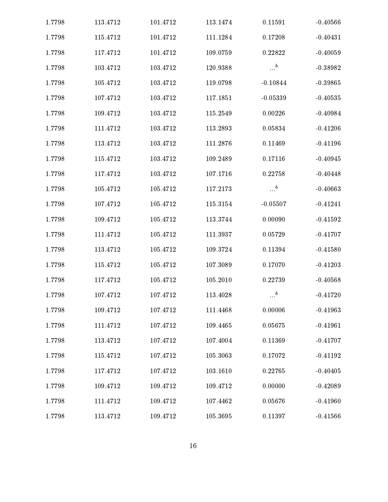| 1.7798 | 113.4712 | 101.4712 | 113.1474 | 0.11591               | $-0.40566$ |
|--------|----------|----------|----------|-----------------------|------------|
| 1.7798 | 115.4712 | 101.4712 | 111.1284 | 0.17208               | $-0.40431$ |
| 1.7798 | 117.4712 | 101.4712 | 109.0759 | 0.22822               | $-0.40059$ |
| 1.7798 | 103.4712 | 103.4712 | 120.9388 | $\cdots$ <sup>b</sup> | $-0.38982$ |
| 1.7798 | 105.4712 | 103.4712 | 119.0798 | $-0.10844$            | $-0.39865$ |
| 1.7798 | 107.4712 | 103.4712 | 117.1851 | $-0.05339$            | $-0.40535$ |
| 1.7798 | 109.4712 | 103.4712 | 115.2549 | 0.00226               | $-0.40984$ |
| 1.7798 | 111.4712 | 103.4712 | 113.2893 | 0.05834               | $-0.41206$ |
| 1.7798 | 113.4712 | 103.4712 | 111.2876 | 0.11469               | $-0.41196$ |
| 1.7798 | 115.4712 | 103.4712 | 109.2489 | 0.17116               | $-0.40945$ |
| 1.7798 | 117.4712 | 103.4712 | 107.1716 | 0.22758               | $-0.40448$ |
| 1.7798 | 105.4712 | 105.4712 | 117.2173 | $\ldots$ <sup>b</sup> | $-0.40663$ |
| 1.7798 | 107.4712 | 105.4712 | 115.3154 | $-0.05507$            | $-0.41241$ |
| 1.7798 | 109.4712 | 105.4712 | 113.3744 | 0.00090               | $-0.41592$ |
| 1.7798 | 111.4712 | 105.4712 | 111.3937 | 0.05729               | $-0.41707$ |
| 1.7798 | 113.4712 | 105.4712 | 109.3724 | 0.11394               | $-0.41580$ |
| 1.7798 | 115.4712 | 105.4712 | 107.3089 | 0.17070               | $-0.41203$ |
| 1.7798 | 117.4712 | 105.4712 | 105.2010 | 0.22739               | $-0.40568$ |
| 1.7798 | 107.4712 | 107.4712 | 113.4028 | $\cdots$ <sup>b</sup> | $-0.41720$ |
| 1.7798 | 109.4712 | 107.4712 | 111.4468 | 0.00006               | $-0.41963$ |
| 1.7798 | 111.4712 | 107.4712 | 109.4465 | 0.05675               | $-0.41961$ |
| 1.7798 | 113.4712 | 107.4712 | 107.4004 | 0.11369               | $-0.41707$ |
| 1.7798 | 115.4712 | 107.4712 | 105.3063 | 0.17072               | $-0.41192$ |
| 1.7798 | 117.4712 | 107.4712 | 103.1610 | 0.22765               | $-0.40405$ |
| 1.7798 | 109.4712 | 109.4712 | 109.4712 | 0.00000               | $-0.42089$ |
| 1.7798 | 111.4712 | 109.4712 | 107.4462 | 0.05676               | $-0.41960$ |
| 1.7798 | 113.4712 | 109.4712 | 105.3695 | 0.11397               | $-0.41566$ |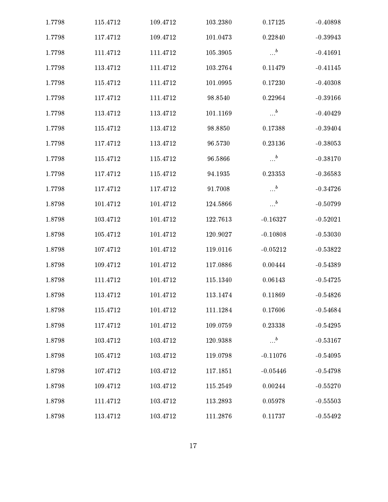| 1.7798 | 115.4712 | 109.4712 | 103.2380 | 0.17125               | $-0.40898$ |
|--------|----------|----------|----------|-----------------------|------------|
| 1.7798 | 117.4712 | 109.4712 | 101.0473 | 0.22840               | $-0.39943$ |
| 1.7798 | 111.4712 | 111.4712 | 105.3905 | $\ldots^b$            | $-0.41691$ |
| 1.7798 | 113.4712 | 111.4712 | 103.2764 | 0.11479               | $-0.41145$ |
| 1.7798 | 115.4712 | 111.4712 | 101.0995 | 0.17230               | $-0.40308$ |
| 1.7798 | 117.4712 | 111.4712 | 98.8540  | 0.22964               | $-0.39166$ |
| 1.7798 | 113.4712 | 113.4712 | 101.1169 | $\ldots$ <sup>b</sup> | $-0.40429$ |
| 1.7798 | 115.4712 | 113.4712 | 98.8850  | 0.17388               | $-0.39404$ |
| 1.7798 | 117.4712 | 113.4712 | 96.5730  | 0.23136               | $-0.38053$ |
| 1.7798 | 115.4712 | 115.4712 | 96.5866  | $\ldots$ <sup>b</sup> | $-0.38170$ |
| 1.7798 | 117.4712 | 115.4712 | 94.1935  | 0.23353               | $-0.36583$ |
| 1.7798 | 117.4712 | 117.4712 | 91.7008  | $\cdots$ <sup>b</sup> | $-0.34726$ |
| 1.8798 | 101.4712 | 101.4712 | 124.5866 | $\cdots$ <sup>b</sup> | $-0.50799$ |
| 1.8798 | 103.4712 | 101.4712 | 122.7613 | $-0.16327$            | $-0.52021$ |
| 1.8798 | 105.4712 | 101.4712 | 120.9027 | $-0.10808$            | $-0.53030$ |
| 1.8798 | 107.4712 | 101.4712 | 119.0116 | $-0.05212$            | $-0.53822$ |
| 1.8798 | 109.4712 | 101.4712 | 117.0886 | 0.00444               | $-0.54389$ |
| 1.8798 | 111.4712 | 101.4712 | 115.1340 | 0.06143               | $-0.54725$ |
| 1.8798 | 113.4712 | 101.4712 | 113.1474 | 0.11869               | $-0.54826$ |
| 1.8798 | 115.4712 | 101.4712 | 111.1284 | 0.17606               | $-0.54684$ |
| 1.8798 | 117.4712 | 101.4712 | 109.0759 | 0.23338               | $-0.54295$ |
| 1.8798 | 103.4712 | 103.4712 | 120.9388 | $\ldots$ <sup>b</sup> | $-0.53167$ |
| 1.8798 | 105.4712 | 103.4712 | 119.0798 | $-0.11076$            | $-0.54095$ |
| 1.8798 | 107.4712 | 103.4712 | 117.1851 | $-0.05446$            | $-0.54798$ |
| 1.8798 | 109.4712 | 103.4712 | 115.2549 | 0.00244               | $-0.55270$ |
| 1.8798 | 111.4712 | 103.4712 | 113.2893 | 0.05978               | $-0.55503$ |
| 1.8798 | 113.4712 | 103.4712 | 111.2876 | 0.11737               | $-0.55492$ |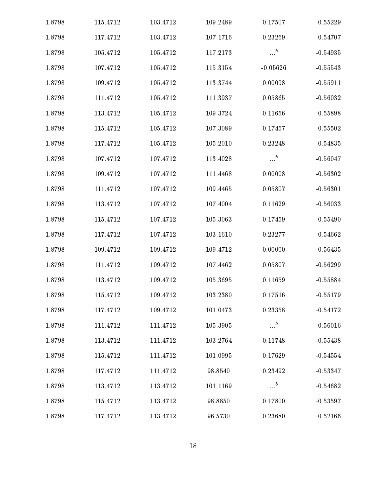| 1.8798 | 115.4712 | 103.4712 | 109.2489 | 0.17507               | $-0.55229$ |
|--------|----------|----------|----------|-----------------------|------------|
| 1.8798 | 117.4712 | 103.4712 | 107.1716 | 0.23269               | $-0.54707$ |
| 1.8798 | 105.4712 | 105.4712 | 117.2173 | $\ldots$ <sup>b</sup> | $-0.54935$ |
| 1.8798 | 107.4712 | 105.4712 | 115.3154 | $-0.05626$            | $-0.55543$ |
| 1.8798 | 109.4712 | 105.4712 | 113.3744 | 0.00098               | $-0.55911$ |
| 1.8798 | 111.4712 | 105.4712 | 111.3937 | 0.05865               | $-0.56032$ |
| 1.8798 | 113.4712 | 105.4712 | 109.3724 | 0.11656               | $-0.55898$ |
| 1.8798 | 115.4712 | 105.4712 | 107.3089 | 0.17457               | $-0.55502$ |
| 1.8798 | 117.4712 | 105.4712 | 105.2010 | 0.23248               | $-0.54835$ |
| 1.8798 | 107.4712 | 107.4712 | 113.4028 | $\dots^b$             | $-0.56047$ |
| 1.8798 | 109.4712 | 107.4712 | 111.4468 | 0.00008               | $-0.56302$ |
| 1.8798 | 111.4712 | 107.4712 | 109.4465 | 0.05807               | $-0.56301$ |
| 1.8798 | 113.4712 | 107.4712 | 107.4004 | 0.11629               | $-0.56033$ |
| 1.8798 | 115.4712 | 107.4712 | 105.3063 | 0.17459               | $-0.55490$ |
| 1.8798 | 117.4712 | 107.4712 | 103.1610 | 0.23277               | $-0.54662$ |
| 1.8798 | 109.4712 | 109.4712 | 109.4712 | 0.00000               | $-0.56435$ |
| 1.8798 | 111.4712 | 109.4712 | 107.4462 | 0.05807               | $-0.56299$ |
| 1.8798 | 113.4712 | 109.4712 | 105.3695 | 0.11659               | $-0.55884$ |
| 1.8798 | 115.4712 | 109.4712 | 103.2380 | 0.17516               | $-0.55179$ |
| 1.8798 | 117.4712 | 109.4712 | 101.0473 | 0.23358               | $-0.54172$ |
| 1.8798 | 111.4712 | 111.4712 | 105.3905 | $\ldots$ <sup>b</sup> | $-0.56016$ |
| 1.8798 | 113.4712 | 111.4712 | 103.2764 | 0.11748               | $-0.55438$ |
| 1.8798 | 115.4712 | 111.4712 | 101.0995 | 0.17629               | $-0.54554$ |
| 1.8798 | 117.4712 | 111.4712 | 98.8540  | 0.23492               | $-0.53347$ |
| 1.8798 | 113.4712 | 113.4712 | 101.1169 | $\ldots$ <sup>b</sup> | $-0.54682$ |
| 1.8798 | 115.4712 | 113.4712 | 98.8850  | 0.17800               | $-0.53597$ |
| 1.8798 | 117.4712 | 113.4712 | 96.5730  | 0.23680               | $-0.52166$ |